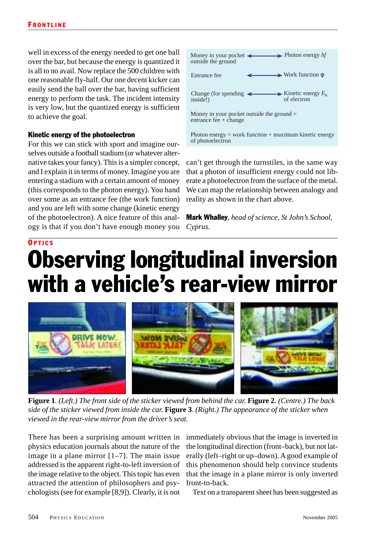## **OPTICS** Observing longitudinal inversion with a vehicle's rear-view mirror



**Figure 1***. (Left.) The front side of the sticker viewed from behind the car.* **Figure 2***. (Centre.) The back side of the sticker viewed from inside the car.* **Figure 3***. (Right.) The appearance of the sticker when viewed in the rear-view mirror from the driver's seat.*

There has been a surprising amount written in physics education journals about the nature of the image in a plane mirror [1–7]. The main issue addressed is the apparent right-to-left inversion of the image relative to the object. This topic has even attracted the attention of philosophers and psychologists (see for example [8,9]). Clearly, it is not

immediately obvious that the image is inverted in the longitudinal direction (front–back), but not laterally (left–right or up–down). A good example of this phenomenon should help convince students that the image in a plane mirror is only inverted front-to-back.

Text on a transparent sheet has been suggested as